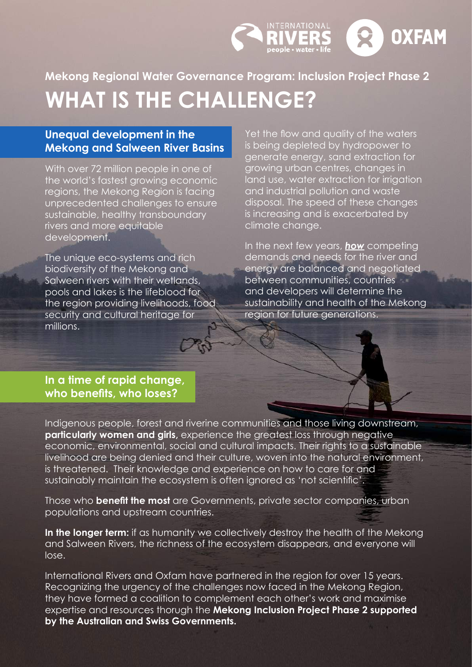

### **Unequal development in the Mekong and Salween River Basins**

With over 72 million people in one of the world's fastest growing economic regions, the Mekong Region is facing unprecedented challenges to ensure sustainable, healthy transboundary rivers and more equitable development.

The unique eco-systems and rich biodiversity of the Mekong and Salween rivers with their wetlands, pools and lakes is the lifeblood for the region providing livelihoods, food security and cultural heritage for millions.

Yet the flow and quality of the waters is being depleted by hydropower to generate energy, sand extraction for growing urban centres, changes in land use, water extraction for irrigation and industrial pollution and waste disposal. The speed of these changes is increasing and is exacerbated by climate change.

 $\mathbf{Q}$ 

**OXFAM** 

INTERNATIONAL

In the next few years, *how* competing demands and needs for the river and energy are balanced and negotiated between communities, countries and developers will determine the sustainability and health of the Mekong region for future generations.

#### **In a time of rapid change, who benefits, who loses?**

Indigenous people, forest and riverine communities and those living downstream, **particularly women and girls, experience the greatest loss through negative** economic, environmental, social and cultural impacts. Their rights to a sustainable livelihood are being denied and their culture, woven into the natural environment, is threatened. Their knowledge and experience on how to care for and sustainably maintain the ecosystem is often ignored as 'not scientific'.

Those who **benefit the most** are Governments, private sector companies, urban populations and upstream countries.

In the longer term: if as humanity we collectively destroy the health of the Mekong and Salween Rivers, the richness of the ecosystem disappears, and everyone will lose.

International Rivers and Oxfam have partnered in the region for over 15 years. Recognizing the urgency of the challenges now faced in the Mekong Region, they have formed a coalition to complement each other's work and maximise expertise and resources thorugh the **Mekong Inclusion Project Phase 2 supported by the Australian and Swiss Governments.**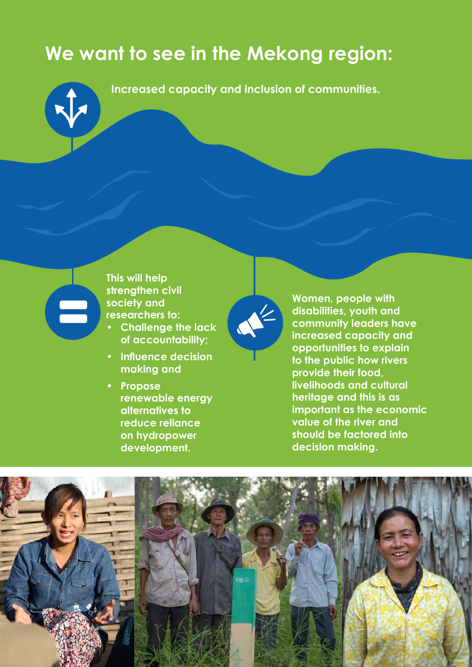# **We want to see in the Mekong region:**



**Increased capacity and inclusion of communities.** 



**This will help strengthen civil society and researchers to:** 

- **• Challenge the lack of accountability;**
- **• Influence decision making and**
- **• Propose renewable energy alternatives to reduce reliance on hydropower development.**



**Women, people with disabilities, youth and community leaders have increased capacity and opportunities to explain to the public how rivers provide their food, livelihoods and cultural heritage and this is as important as the economic value of the river and should be factored into decision making.** 

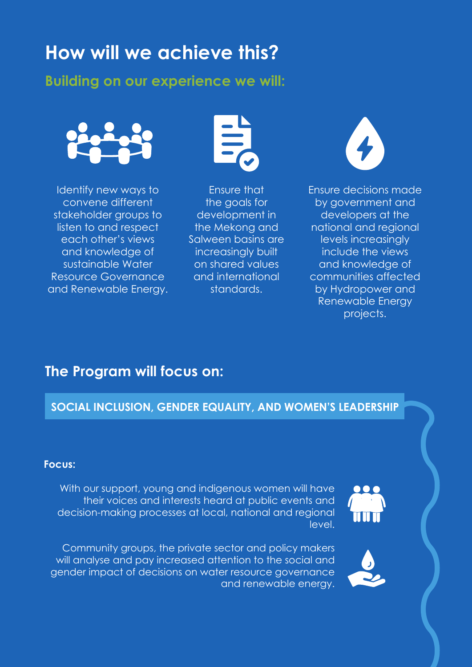# **How will we achieve this?**

## **Building on our experience we will:**



Identify new ways to convene different stakeholder groups to listen to and respect each other's views and knowledge of sustainable Water Resource Governance and Renewable Energy.



Ensure that the goals for development in the Mekong and Salween basins are increasingly built on shared values and international standards.



Ensure decisions made by government and developers at the national and regional levels increasingly include the views and knowledge of communities affected by Hydropower and Renewable Energy projects.

## **The Program will focus on:**

## **SOCIAL INCLUSION, GENDER EQUALITY, AND WOMEN'S LEADERSHIP**

#### **Focus:**

With our support, young and indigenous women will have their voices and interests heard at public events and decision-making processes at local, national and regional level.